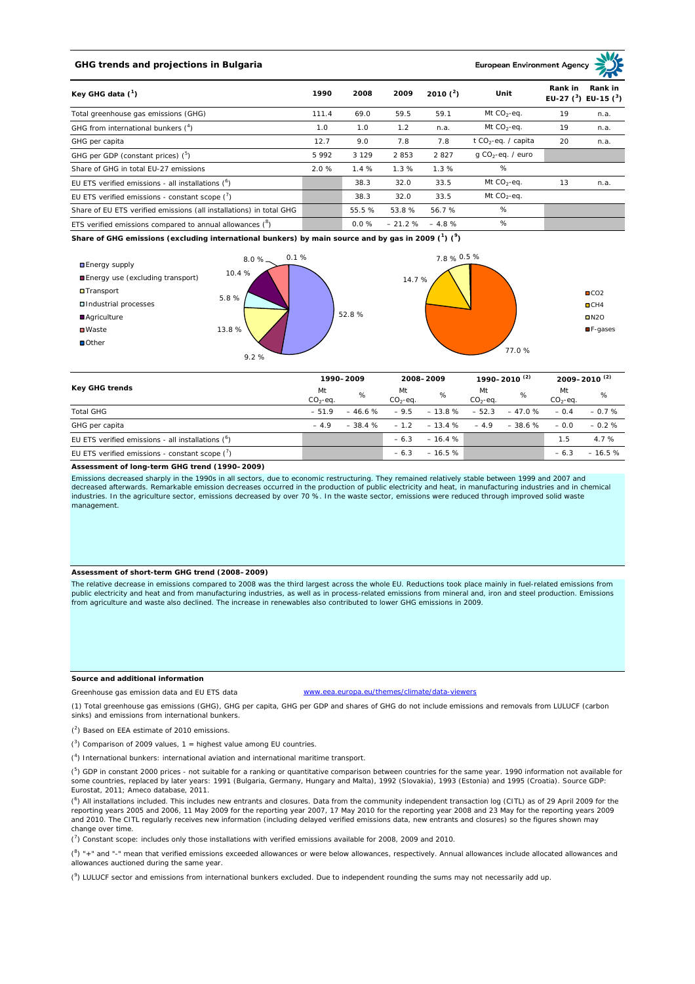# **GHG trends and projections in Bulgaria**

**European Environment Ag** 

| Key GHG data $(^1)$                                                 |       | 2008     | 2009     | 2010 $(^{2})$ | Unit                            | Rank in<br>Rank in<br>EU-27 $(^3)$ EU-15 $(^3)$ |      |
|---------------------------------------------------------------------|-------|----------|----------|---------------|---------------------------------|-------------------------------------------------|------|
| Total greenhouse gas emissions (GHG)                                | 111.4 | 69.0     | 59.5     | 59.1          | Mt $CO2$ -eq.                   | 19                                              | n.a. |
| GHG from international bunkers $(^4)$                               | 1.0   | 1.0      | 1.2      | n.a.          | Mt $CO_2$ -eq.                  | 19                                              | n.a. |
| GHG per capita                                                      | 12.7  | 9.0      | 7.8      | 7.8           | t CO <sub>2</sub> -eq. / capita | 20                                              | n.a. |
| GHG per GDP (constant prices) $(^5)$                                | 5992  | 3 1 2 9  | 2853     | 2827          | $q$ CO <sub>2</sub> -eq. / euro |                                                 |      |
| Share of GHG in total EU-27 emissions                               | 2.0%  | 1.4%     | 1.3%     | 1.3%          | %                               |                                                 |      |
| EU ETS verified emissions - all installations $(°)$                 |       | 38.3     | 32.0     | 33.5          | Mt $CO_2$ -eq.                  | 13                                              | n.a. |
| EU ETS verified emissions - constant scope $(\vec{r})$              |       | 38.3     | 32.0     | 33.5          | Mt $CO_2$ -eq.                  |                                                 |      |
| Share of EU ETS verified emissions (all installations) in total GHG |       | 55.5 %   | 53.8%    | 56.7%         | %                               |                                                 |      |
| ETS verified emissions compared to annual allowances $(^8)$         |       | $0.0 \%$ | $-21.2%$ | $-4.8%$       | %                               |                                                 |      |

**Share of GHG emissions (excluding international bunkers) by main source and by gas in 2009 (<sup>1</sup> ) (<sup>9</sup> )**



| <b>Key GHG trends</b>                                |                 | 1990-2009 |                 | 2008-2009        |                 | 1990-2010 <sup>(2)</sup> |                 | 2009-2010 <sup>(2)</sup> |  |
|------------------------------------------------------|-----------------|-----------|-----------------|------------------|-----------------|--------------------------|-----------------|--------------------------|--|
|                                                      | Mt<br>$CO2-eq.$ | %         | Mt<br>$CO2-eq.$ | %                | Mt<br>$CO2-eq.$ | %                        | Mt<br>$CO2-ea.$ | %                        |  |
| <b>Total GHG</b>                                     | $-51.9$         | $-46.6%$  | $-9.5$          | $-13.8%$         | $-52.3$         | $-47.0%$                 | $-0.4$          | $-0.7%$                  |  |
| GHG per capita                                       | $-49$           | $-38.4%$  |                 | $-1.2 - 13.4 \%$ | $-4.9$          | $-38.6%$                 | $-0.0$          | $-0.2%$                  |  |
| EU ETS verified emissions - all installations $(^6)$ |                 |           | $-6.3$          | $-16.4%$         |                 |                          | 1.5             | 4.7%                     |  |
| EU ETS verified emissions - constant scope $(7)$     |                 |           | $-6.3$          | $-16.5%$         |                 |                          | $-6.3$          | $-16.5%$                 |  |

#### **Assessment of long-term GHG trend (1990–2009)**

Emissions decreased sharply in the 1990s in all sectors, due to economic restructuring. They remained relatively stable between 1999 and 2007 and decreased afterwards. Remarkable emission decreases occurred in the production of public electricity and heat, in manufacturing industries and in chemical industries. In the agriculture sector, emissions decreased by over 70 %. In the waste sector, emissions were reduced through improved solid waste management.

## **Assessment of short-term GHG trend (2008–2009)**

The relative decrease in emissions compared to 2008 was the third largest across the whole EU. Reductions took place mainly in fuel-related emissions from public electricity and heat and from manufacturing industries, as well as in process-related emissions from mineral and, iron and steel production. Emissions from agriculture and waste also declined. The increase in renewables also contributed to lower GHG emissions in 2009.

## **Source and additional information**

www.eea.europa.eu/themes/climate/data-viewers

(1) Total greenhouse gas emissions (GHG), GHG per capita, GHG per GDP and shares of GHG do not include emissions and removals from LULUCF (carbon sinks) and emissions from international bunkers.

( 2 ) Based on EEA estimate of 2010 emissions.

Greenhouse gas emission data and EU ETS data

 $(3)$  Comparison of 2009 values, 1 = highest value among EU countries.

( 4 ) International bunkers: international aviation and international maritime transport.

 $(^{5})$  GDP in constant 2000 prices - not suitable for a ranking or quantitative comparison between countries for the same year. 1990 information not available for some countries, replaced by later years: 1991 (Bulgaria, Germany, Hungary and Malta), 1992 (Slovakia), 1993 (Estonia) and 1995 (Croatia). Source GDP: Eurostat, 2011; Ameco database, 2011.

(<sup>6</sup>) All installations included. This includes new entrants and closures. Data from the community independent transaction log (CITL) as of 29 April 2009 for the<br>reporting years 2005 and 2006, 11 May 2009 for the reporting and 2010. The CITL regularly receives new information (including delayed verified emissions data, new entrants and closures) so the figures shown may change over time.

 $\binom{7}{1}$  Constant scope: includes only those installations with verified emissions available for 2008, 2009 and 2010.

 $(^{8}$ ) " $+$ " and "-" mean that verified emissions exceeded allowances or were below allowances, respectively. Annual allowances include allocated allowances and allowances auctioned during the same year.

 $(2)$  LULUCF sector and emissions from international bunkers excluded. Due to independent rounding the sums may not necessarily add up.